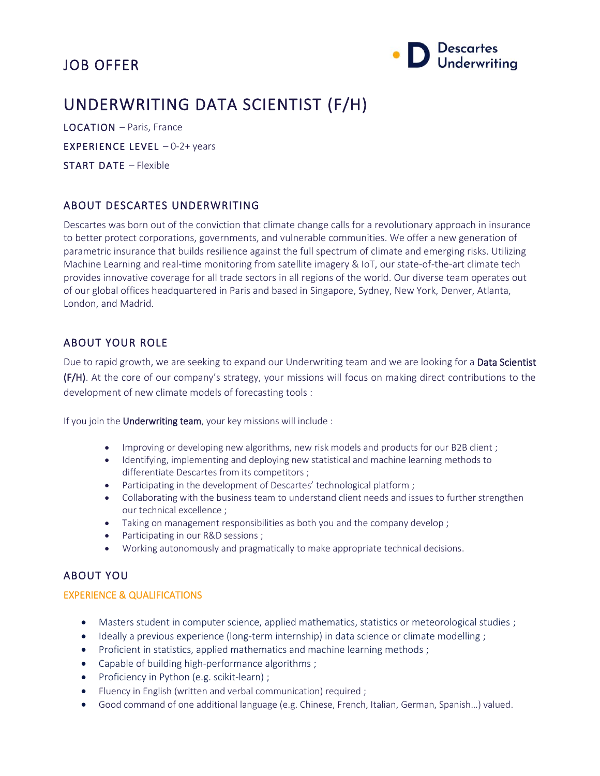# JOB OFFER



# UNDERWRITING DATA SCIENTIST (F/H)

LOCATION – Paris, France EXPERIENCE LEVEL – 0-2+ years

START DATE – Flexible

### ABOUT DESCARTES UNDERWRITING

Descartes was born out of the conviction that climate change calls for a revolutionary approach in insurance to better protect corporations, governments, and vulnerable communities. We offer a new generation of parametric insurance that builds resilience against the full spectrum of climate and emerging risks. Utilizing Machine Learning and real-time monitoring from satellite imagery & IoT, our state-of-the-art climate tech provides innovative coverage for all trade sectors in all regions of the world. Our diverse team operates out of our global offices headquartered in Paris and based in Singapore, Sydney, New York, Denver, Atlanta, London, and Madrid.

## ABOUT YOUR ROLE

Due to rapid growth, we are seeking to expand our Underwriting team and we are looking for a Data Scientist (F/H). At the core of our company's strategy, your missions will focus on making direct contributions to the development of new climate models of forecasting tools :

If you join the Underwriting team, your key missions will include :

- Improving or developing new algorithms, new risk models and products for our B2B client;
- Identifying, implementing and deploying new statistical and machine learning methods to differentiate Descartes from its competitors ;
- Participating in the development of Descartes' technological platform ;
- Collaborating with the business team to understand client needs and issues to further strengthen our technical excellence ;
- Taking on management responsibilities as both you and the company develop ;
- Participating in our R&D sessions ;
- Working autonomously and pragmatically to make appropriate technical decisions.

### ABOUT YOU

#### EXPERIENCE & QUALIFICATIONS

- Masters student in computer science, applied mathematics, statistics or meteorological studies ;
- Ideally a previous experience (long-term internship) in data science or climate modelling;
- Proficient in statistics, applied mathematics and machine learning methods;
- Capable of building high-performance algorithms ;
- Proficiency in Python (e.g. scikit-learn) ;
- Fluency in English (written and verbal communication) required ;
- Good command of one additional language (e.g. Chinese, French, Italian, German, Spanish…) valued.